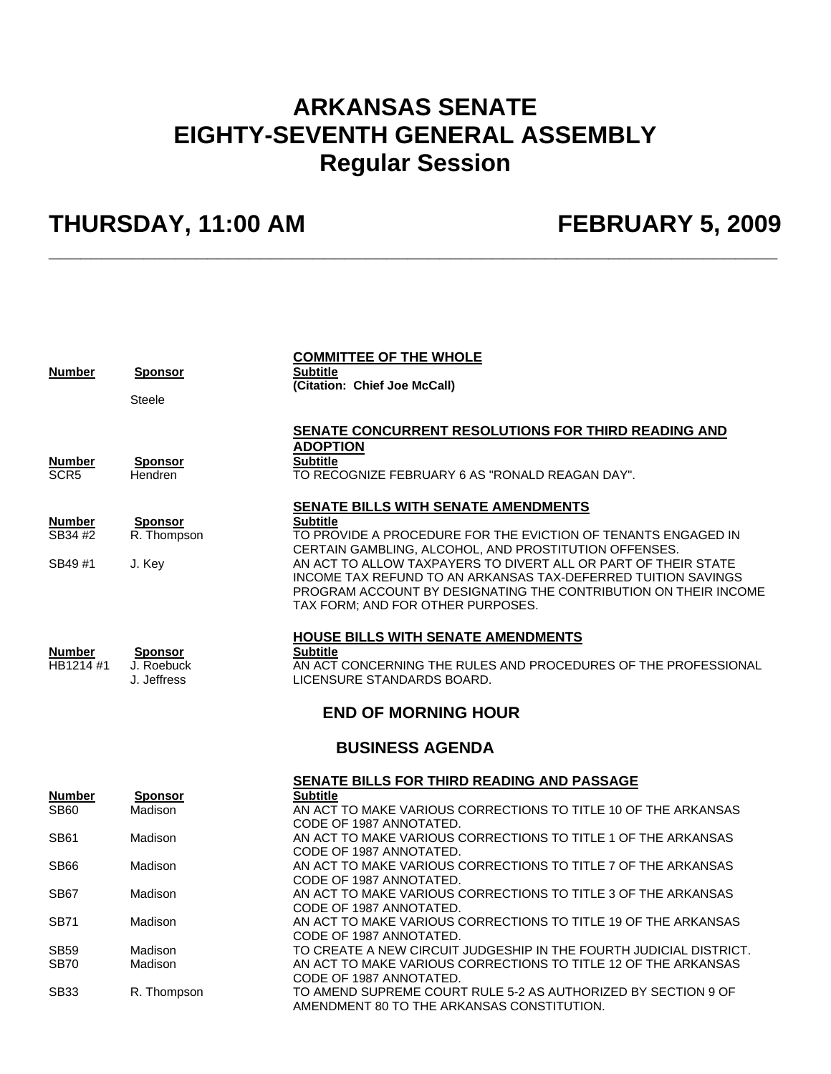## **ARKANSAS SENATE EIGHTY-SEVENTH GENERAL ASSEMBLY Regular Session**

**\_\_\_\_\_\_\_\_\_\_\_\_\_\_\_\_\_\_\_\_\_\_\_\_\_\_\_\_\_\_\_\_\_\_\_\_\_\_\_\_\_\_\_\_\_\_\_\_\_\_\_\_\_\_\_\_\_\_\_\_\_\_\_\_\_\_\_\_\_** 

## **THURSDAY, 11:00 AM FEBRUARY 5, 2009**

| <b>Number</b>                      | Sponsor<br>Steele                           | <b>COMMITTEE OF THE WHOLE</b><br><b>Subtitle</b><br>(Citation: Chief Joe McCall)                                                                                                                                                                                                                                                                                                                                            |
|------------------------------------|---------------------------------------------|-----------------------------------------------------------------------------------------------------------------------------------------------------------------------------------------------------------------------------------------------------------------------------------------------------------------------------------------------------------------------------------------------------------------------------|
| <b>Number</b><br>SCR <sub>5</sub>  | <b>Sponsor</b><br><b>Hendren</b>            | SENATE CONCURRENT RESOLUTIONS FOR THIRD READING AND<br><b>ADOPTION</b><br><b>Subtitle</b><br>TO RECOGNIZE FEBRUARY 6 AS "RONALD REAGAN DAY".                                                                                                                                                                                                                                                                                |
| <b>Number</b><br>SB34 #2<br>SB49#1 | Sponsor<br>R. Thompson<br>J. Key            | SENATE BILLS WITH SENATE AMENDMENTS<br><b>Subtitle</b><br>TO PROVIDE A PROCEDURE FOR THE EVICTION OF TENANTS ENGAGED IN<br>CERTAIN GAMBLING, ALCOHOL, AND PROSTITUTION OFFENSES.<br>AN ACT TO ALLOW TAXPAYERS TO DIVERT ALL OR PART OF THEIR STATE<br>INCOME TAX REFUND TO AN ARKANSAS TAX-DEFERRED TUITION SAVINGS<br>PROGRAM ACCOUNT BY DESIGNATING THE CONTRIBUTION ON THEIR INCOME<br>TAX FORM; AND FOR OTHER PURPOSES. |
| <b>Number</b><br>HB1214 #1         | <b>Sponsor</b><br>J. Roebuck<br>J. Jeffress | <b>HOUSE BILLS WITH SENATE AMENDMENTS</b><br><b>Subtitle</b><br>AN ACT CONCERNING THE RULES AND PROCEDURES OF THE PROFESSIONAL<br>LICENSURE STANDARDS BOARD.                                                                                                                                                                                                                                                                |
|                                    |                                             | <b>END OF MORNING HOUR</b>                                                                                                                                                                                                                                                                                                                                                                                                  |
|                                    |                                             | <b>BUSINESS AGENDA</b>                                                                                                                                                                                                                                                                                                                                                                                                      |
|                                    |                                             | SENATE BILLS FOR THIRD READING AND PASSAGE                                                                                                                                                                                                                                                                                                                                                                                  |
| <b>Number</b><br><b>SB60</b>       | Sponsor<br>Madison                          | <b>Subtitle</b><br>AN ACT TO MAKE VARIOUS CORRECTIONS TO TITLE 10 OF THE ARKANSAS<br>CODE OF 1987 ANNOTATED.                                                                                                                                                                                                                                                                                                                |
| <b>SB61</b>                        | Madison                                     | AN ACT TO MAKE VARIOUS CORRECTIONS TO TITLE 1 OF THE ARKANSAS<br>CODE OF 1987 ANNOTATED.                                                                                                                                                                                                                                                                                                                                    |
| SB <sub>66</sub>                   | Madison                                     | AN ACT TO MAKE VARIOUS CORRECTIONS TO TITLE 7 OF THE ARKANSAS<br>CODE OF 1987 ANNOTATED.                                                                                                                                                                                                                                                                                                                                    |
| SB67                               | Madison                                     | AN ACT TO MAKE VARIOUS CORRECTIONS TO TITLE 3 OF THE ARKANSAS<br>CODE OF 1987 ANNOTATED.                                                                                                                                                                                                                                                                                                                                    |
| <b>SB71</b>                        | Madison                                     | AN ACT TO MAKE VARIOUS CORRECTIONS TO TITLE 19 OF THE ARKANSAS                                                                                                                                                                                                                                                                                                                                                              |
|                                    |                                             | CODE OF 1987 ANNOTATED.                                                                                                                                                                                                                                                                                                                                                                                                     |
| <b>SB59</b><br><b>SB70</b>         | Madison<br>Madison                          | TO CREATE A NEW CIRCUIT JUDGESHIP IN THE FOURTH JUDICIAL DISTRICT.<br>AN ACT TO MAKE VARIOUS CORRECTIONS TO TITLE 12 OF THE ARKANSAS                                                                                                                                                                                                                                                                                        |
| SB <sub>33</sub>                   | R. Thompson                                 | CODE OF 1987 ANNOTATED.<br>TO AMEND SUPREME COURT RULE 5-2 AS AUTHORIZED BY SECTION 9 OF<br>AMENDMENT 80 TO THE ARKANSAS CONSTITUTION.                                                                                                                                                                                                                                                                                      |